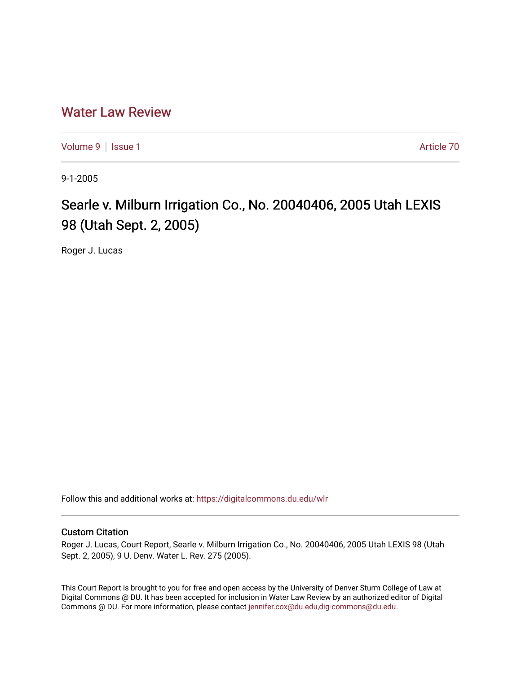## [Water Law Review](https://digitalcommons.du.edu/wlr)

[Volume 9](https://digitalcommons.du.edu/wlr/vol9) | [Issue 1](https://digitalcommons.du.edu/wlr/vol9/iss1) Article 70

9-1-2005

## Searle v. Milburn Irrigation Co., No. 20040406, 2005 Utah LEXIS 98 (Utah Sept. 2, 2005)

Roger J. Lucas

Follow this and additional works at: [https://digitalcommons.du.edu/wlr](https://digitalcommons.du.edu/wlr?utm_source=digitalcommons.du.edu%2Fwlr%2Fvol9%2Fiss1%2F70&utm_medium=PDF&utm_campaign=PDFCoverPages) 

## Custom Citation

Roger J. Lucas, Court Report, Searle v. Milburn Irrigation Co., No. 20040406, 2005 Utah LEXIS 98 (Utah Sept. 2, 2005), 9 U. Denv. Water L. Rev. 275 (2005).

This Court Report is brought to you for free and open access by the University of Denver Sturm College of Law at Digital Commons @ DU. It has been accepted for inclusion in Water Law Review by an authorized editor of Digital Commons @ DU. For more information, please contact [jennifer.cox@du.edu,dig-commons@du.edu.](mailto:jennifer.cox@du.edu,dig-commons@du.edu)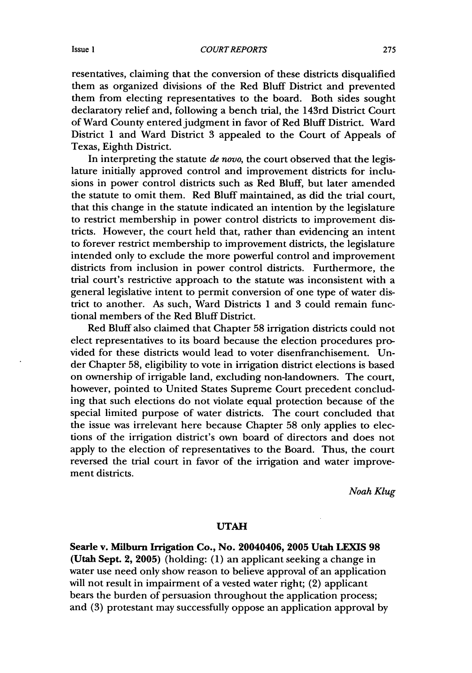resentatives, claiming that the conversion of these districts disqualified them as organized divisions of the Red Bluff District and prevented them from electing representatives to the board. Both sides sought declaratory relief and, following a bench trial, the 143rd District Court of Ward County entered judgment in favor of Red Bluff District. Ward District 1 and Ward District 3 appealed to the Court of Appeals of Texas, Eighth District.

In interpreting the statute *de novo,* the court observed that the legislature initially approved control and improvement districts for inclusions in power control districts such as Red Bluff, but later amended the statute to omit them. Red Bluff maintained, as did the trial court, that this change in the statute indicated an intention by the legislature to restrict membership in power control districts to improvement districts. However, the court held that, rather than evidencing an intent to forever restrict membership to improvement districts, the legislature intended only to exclude the more powerful control and improvement districts from inclusion in power control districts. Furthermore, the trial court's restrictive approach to the statute was inconsistent with a general legislative intent to permit conversion of one type of water district to another. As such, Ward Districts 1 and 3 could remain functional members of the Red Bluff District.

Red Bluff also claimed that Chapter 58 irrigation districts could not elect representatives to its board because the election procedures provided for these districts would lead to voter disenfranchisement. Under Chapter 58, eligibility to vote in irrigation district elections is based on ownership of irrigable land, excluding non-landowners. The court, however, pointed to United States Supreme Court precedent concluding that such elections do not violate equal protection because of the special limited purpose of water districts. The court concluded that the issue was irrelevant here because Chapter 58 only applies to elections of the irrigation district's own board of directors and does not apply to the election of representatives to the Board. Thus, the court reversed the trial court in favor of the irrigation and water improvement districts.

*Noah Klug*

## **UTAH**

Searle v. Milburn Irrigation Co., No. 20040406, **2005** Utah **LEXIS 98** (Utah Sept. 2, **2005)** (holding: **(1)** an applicant seeking a change in water use need only show reason to believe approval of an application will not result in impairment of a vested water right; (2) applicant bears the burden of persuasion throughout the application process; and (3) protestant may successfully oppose an application approval by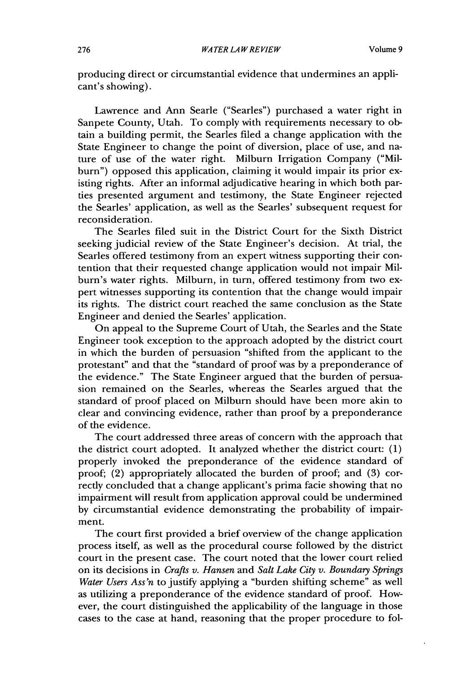producing direct or circumstantial evidence that undermines an applicant's showing).

Lawrence and Ann Searle ("Searles") purchased a water right in Sanpete County, Utah. To comply with requirements necessary to obtain a building permit, the Searles filed a change application with the State Engineer to change the point of diversion, place of use, and nature of use of the water right. Milburn Irrigation Company ("Milburn") opposed this application, claiming it would impair its prior existing rights. After an informal adjudicative hearing in which both parties presented argument and testimony, the State Engineer rejected the Searles' application, as well as the Searles' subsequent request for reconsideration.

The Searles filed suit in the District Court for the Sixth District seeking judicial review of the State Engineer's decision. At trial, the Searles offered testimony from an expert witness supporting their contention that their requested change application would not impair Milburn's water rights. Milburn, in turn, offered testimony from two expert witnesses supporting its contention that the change would impair its rights. The district court reached the same conclusion as the State Engineer and denied the Searles' application.

On appeal to the Supreme Court of Utah, the Searles and the State Engineer took exception to the approach adopted by the district court in which the burden of persuasion "shifted from the applicant to the protestant" and that the "standard of proof was by a preponderance of the evidence." The State Engineer argued that the burden of persuasion remained on the Searles, whereas the Searles argued that the standard of proof placed on Milburn should have been more akin to clear and convincing evidence, rather than proof by a preponderance of the evidence.

The court addressed three areas of concern with the approach that the district court adopted. It analyzed whether the district court: (1) properly invoked the preponderance of the evidence standard of proof; (2) appropriately allocated the burden of proof; and (3) correctly concluded that a change applicant's prima facie showing that no impairment will result from application approval could be undermined by circumstantial evidence demonstrating the probability of impairment.

The court first provided a brief overview of the change application process itself, as well as the procedural course followed by the district court in the present case. The court noted that the lower court relied on its decisions in *Crafts v. Hansen* and *Salt Lake City v. Boundary Springs Water Users Ass'n* to justify applying a "burden shifting scheme" as well as utilizing a preponderance of the evidence standard of proof. However, the court distinguished the applicability of the language in those cases to the case at hand, reasoning that the proper procedure to fol